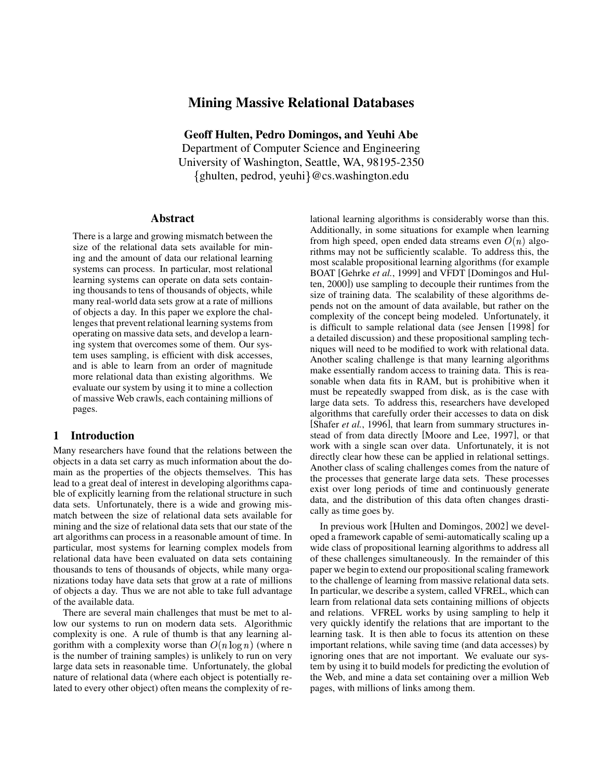# **Mining Massive Relational Databases**

**Geoff Hulten, Pedro Domingos, and Yeuhi Abe** Department of Computer Science and Engineering University of Washington, Seattle, WA, 98195-2350 {ghulten, pedrod, yeuhi}@cs.washington.edu

#### **Abstract**

There is a large and growing mismatch between the size of the relational data sets available for mining and the amount of data our relational learning systems can process. In particular, most relational learning systems can operate on data sets containing thousands to tens of thousands of objects, while many real-world data sets grow at a rate of millions of objects a day. In this paper we explore the challenges that prevent relational learning systems from operating on massive data sets, and develop a learning system that overcomes some of them. Our system uses sampling, is efficient with disk accesses, and is able to learn from an order of magnitude more relational data than existing algorithms. We evaluate our system by using it to mine a collection of massive Web crawls, each containing millions of pages.

## **1 Introduction**

Many researchers have found that the relations between the objects in a data set carry as much information about the domain as the properties of the objects themselves. This has lead to a great deal of interest in developing algorithms capable of explicitly learning from the relational structure in such data sets. Unfortunately, there is a wide and growing mismatch between the size of relational data sets available for mining and the size of relational data sets that our state of the art algorithms can process in a reasonable amount of time. In particular, most systems for learning complex models from relational data have been evaluated on data sets containing thousands to tens of thousands of objects, while many organizations today have data sets that grow at a rate of millions of objects a day. Thus we are not able to take full advantage of the available data.

There are several main challenges that must be met to allow our systems to run on modern data sets. Algorithmic complexity is one. A rule of thumb is that any learning algorithm with a complexity worse than  $O(n \log n)$  (where n is the number of training samples) is unlikely to run on very large data sets in reasonable time. Unfortunately, the global nature of relational data (where each object is potentially related to every other object) often means the complexity of relational learning algorithms is considerably worse than this. Additionally, in some situations for example when learning from high speed, open ended data streams even  $O(n)$  algorithms may not be sufficiently scalable. To address this, the most scalable propositional learning algorithms (for example BOAT [Gehrke *et al.*, 1999] and VFDT [Domingos and Hulten, 2000]) use sampling to decouple their runtimes from the size of training data. The scalability of these algorithms depends not on the amount of data available, but rather on the complexity of the concept being modeled. Unfortunately, it is difficult to sample relational data (see Jensen [1998] for a detailed discussion) and these propositional sampling techniques will need to be modified to work with relational data. Another scaling challenge is that many learning algorithms make essentially random access to training data. This is reasonable when data fits in RAM, but is prohibitive when it must be repeatedly swapped from disk, as is the case with large data sets. To address this, researchers have developed algorithms that carefully order their accesses to data on disk [Shafer *et al.*, 1996], that learn from summary structures instead of from data directly [Moore and Lee, 1997], or that work with a single scan over data. Unfortunately, it is not directly clear how these can be applied in relational settings. Another class of scaling challenges comes from the nature of the processes that generate large data sets. These processes exist over long periods of time and continuously generate data, and the distribution of this data often changes drastically as time goes by.

In previous work [Hulten and Domingos, 2002] we developed a framework capable of semi-automatically scaling up a wide class of propositional learning algorithms to address all of these challenges simultaneously. In the remainder of this paper we begin to extend our propositional scaling framework to the challenge of learning from massive relational data sets. In particular, we describe a system, called VFREL, which can learn from relational data sets containing millions of objects and relations. VFREL works by using sampling to help it very quickly identify the relations that are important to the learning task. It is then able to focus its attention on these important relations, while saving time (and data accesses) by ignoring ones that are not important. We evaluate our system by using it to build models for predicting the evolution of the Web, and mine a data set containing over a million Web pages, with millions of links among them.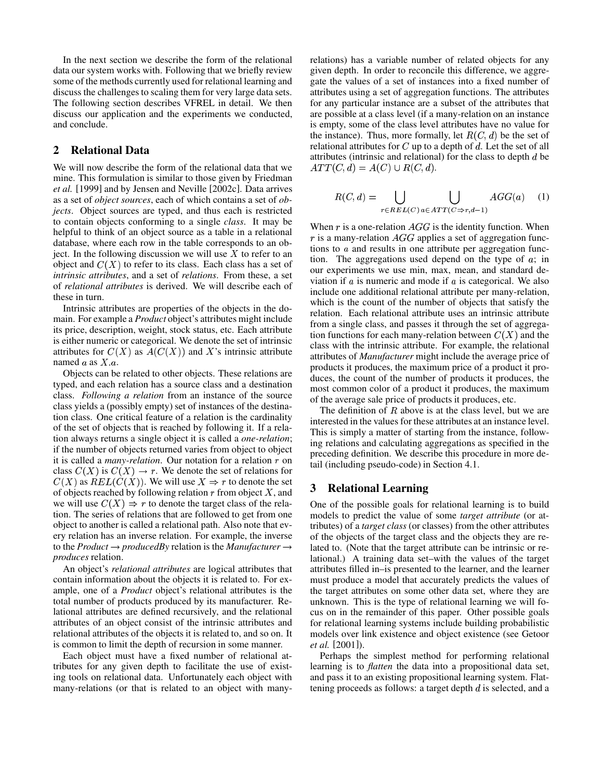In the next section we describe the form of the relational data our system works with. Following that we briefly review some of the methods currently used for relational learning and discuss the challenges to scaling them for very large data sets. The following section describes VFREL in detail. We then discuss our application and the experiments we conducted, and conclude.

## **2 Relational Data**

We will now describe the form of the relational data that we mine. This formulation is similar to those given by Friedman *et al.* [1999] and by Jensen and Neville [2002c]. Data arrives as a set of *object sources*, each of which contains a set of *objects*. Object sources are typed, and thus each is restricted to contain objects conforming to a single *class*. It may be helpful to think of an object source as a table in a relational database, where each row in the table corresponds to an object. In the following discussion we will use  $X$  to refer to an object and  $C(X)$  to refer to its class. Each class has a set of *intrinsic attributes*, and a set of *relations*. From these, a set of *relational attributes* is derived. We will describe each of these in turn.

Intrinsic attributes are properties of the objects in the domain. For example a *Product* object's attributes might include its price, description, weight, stock status, etc. Each attribute is either numeric or categorical. We denote the set of intrinsic attributes for  $C(X)$  as  $A(C(X))$  and X's intrinsic attribute named  $a$  as  $X.a$ .

Objects can be related to other objects. These relations are typed, and each relation has a source class and a destination class. *Following a relation* from an instance of the source class yields a (possibly empty) set of instances of the destination class. One critical feature of a relation is the cardinality of the set of objects that is reached by following it. If a relation always returns a single object it is called a *one-relation*; if the number of objects returned varies from object to object it is called a *many-relation*. Our notation for a relation  $r$  on class  $C(X)$  is  $C(X) \to r$ . We denote the set of relations for  $C(X)$  as  $REL(C(X))$ . We will use  $X \Rightarrow r$  to denote the set of objects reached by following relation  $r$  from object  $X$ , and we will use  $C(X) \Rightarrow r$  to denote the target class of the relation. The series of relations that are followed to get from one object to another is called a relational path. Also note that every relation has an inverse relation. For example, the inverse to the *Product*  $\rightarrow$  *producedBy* relation is the *Manufacturer*  $\rightarrow$ *produces* relation.

An object's *relational attributes* are logical attributes that contain information about the objects it is related to. For example, one of a *Product* object's relational attributes is the total number of products produced by its manufacturer. Relational attributes are defined recursively, and the relational attributes of an object consist of the intrinsic attributes and relational attributes of the objects it is related to, and so on. It is common to limit the depth of recursion in some manner.

Each object must have a fixed number of relational attributes for any given depth to facilitate the use of existing tools on relational data. Unfortunately each object with many-relations (or that is related to an object with manyrelations) has a variable number of related objects for any given depth. In order to reconcile this difference, we aggregate the values of a set of instances into a fixed number of attributes using a set of aggregation functions. The attributes for any particular instance are a subset of the attributes that are possible at a class level (if a many-relation on an instance is empty, some of the class level attributes have no value for the instance). Thus, more formally, let  $R(C, d)$  be the set of relational attributes for  $C$  up to a depth of  $d$ . Let the set of all attributes (intrinsic and relational) for the class to depth  $d$  be  $ATT(C, d) = A(C) \cup R(C, d).$ 

$$
R(C,d) = \bigcup_{r \in REL(C)} \bigcup_{a \in ATT(C \Rightarrow r, d-1)} AGG(a) \quad (1)
$$

When  $r$  is a one-relation  $AGG$  is the identity function. When  $r$  is a many-relation  $AGG$  applies a set of aggregation functions to  $a$  and results in one attribute per aggregation function. The aggregations used depend on the type of  $a$ ; in our experiments we use min, max, mean, and standard deviation if  $\alpha$  is numeric and mode if  $\alpha$  is categorical. We also include one additional relational attribute per many-relation, which is the count of the number of objects that satisfy the relation. Each relational attribute uses an intrinsic attribute from a single class, and passes it through the set of aggregation functions for each many-relation between  $C(X)$  and the class with the intrinsic attribute. For example, the relational attributes of *Manufacturer* might include the average price of products it produces, the maximum price of a product it produces, the count of the number of products it produces, the most common color of a product it produces, the maximum of the average sale price of products it produces, etc.

The definition of  $R$  above is at the class level, but we are interested in the values for these attributes at an instance level. This is simply a matter of starting from the instance, following relations and calculating aggregations as specified in the preceding definition. We describe this procedure in more detail (including pseudo-code) in Section 4.1.

## **3 Relational Learning**

One of the possible goals for relational learning is to build models to predict the value of some *target attribute* (or attributes) of a *target class* (or classes) from the other attributes of the objects of the target class and the objects they are related to. (Note that the target attribute can be intrinsic or relational.) A training data set–with the values of the target attributes filled in–is presented to the learner, and the learner must produce a model that accurately predicts the values of the target attributes on some other data set, where they are unknown. This is the type of relational learning we will focus on in the remainder of this paper. Other possible goals for relational learning systems include building probabilistic models over link existence and object existence (see Getoor *et al.* [2001]).

Perhaps the simplest method for performing relational learning is to *flatten* the data into a propositional data set, and pass it to an existing propositional learning system. Flattening proceeds as follows: a target depth  $d$  is selected, and a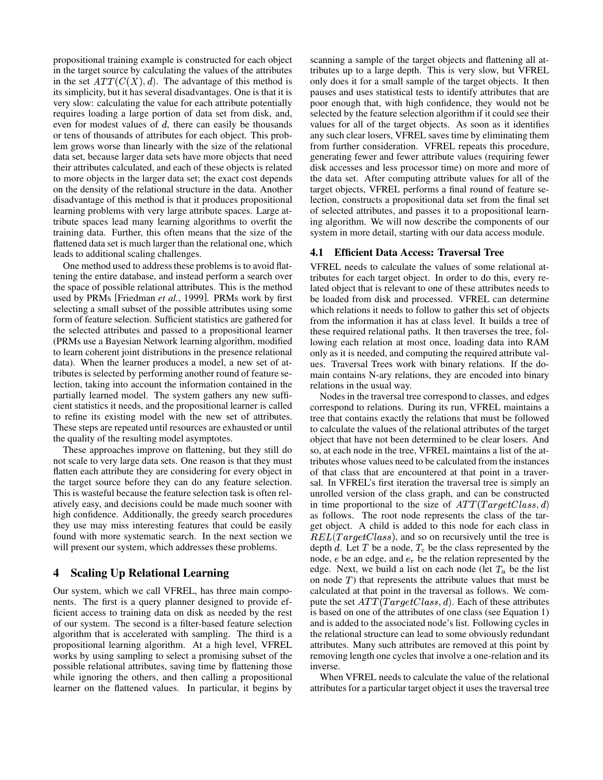propositional training example is constructed for each object in the target source by calculating the values of the attributes in the set  $ATT(C(X), d)$ . The advantage of this method is its simplicity, but it has several disadvantages. One is that it is very slow: calculating the value for each attribute potentially requires loading a large portion of data set from disk, and, even for modest values of  $d$ , there can easily be thousands or tens of thousands of attributes for each object. This problem grows worse than linearly with the size of the relational data set, because larger data sets have more objects that need their attributes calculated, and each of these objects is related to more objects in the larger data set; the exact cost depends on the density of the relational structure in the data. Another disadvantage of this method is that it produces propositional learning problems with very large attribute spaces. Large attribute spaces lead many learning algorithms to overfit the training data. Further, this often means that the size of the flattened data set is much larger than the relational one, which leads to additional scaling challenges.

One method used to address these problems is to avoid flattening the entire database, and instead perform a search over the space of possible relational attributes. This is the method used by PRMs [Friedman *et al.*, 1999]. PRMs work by first selecting a small subset of the possible attributes using some form of feature selection. Sufficient statistics are gathered for the selected attributes and passed to a propositional learner (PRMs use a Bayesian Network learning algorithm, modified to learn coherent joint distributions in the presence relational data). When the learner produces a model, a new set of attributes is selected by performing another round of feature selection, taking into account the information contained in the partially learned model. The system gathers any new sufficient statistics it needs, and the propositional learner is called to refine its existing model with the new set of attributes. These steps are repeated until resources are exhausted or until the quality of the resulting model asymptotes.

These approaches improve on flattening, but they still do not scale to very large data sets. One reason is that they must flatten each attribute they are considering for every object in the target source before they can do any feature selection. This is wasteful because the feature selection task is often relatively easy, and decisions could be made much sooner with high confidence. Additionally, the greedy search procedures they use may miss interesting features that could be easily found with more systematic search. In the next section we will present our system, which addresses these problems.

## **4 Scaling Up Relational Learning**

Our system, which we call VFREL, has three main components. The first is a query planner designed to provide efficient access to training data on disk as needed by the rest of our system. The second is a filter-based feature selection algorithm that is accelerated with sampling. The third is a propositional learning algorithm. At a high level, VFREL works by using sampling to select a promising subset of the possible relational attributes, saving time by flattening those while ignoring the others, and then calling a propositional learner on the flattened values. In particular, it begins by scanning a sample of the target objects and flattening all attributes up to a large depth. This is very slow, but VFREL only does it for a small sample of the target objects. It then pauses and uses statistical tests to identify attributes that are poor enough that, with high confidence, they would not be selected by the feature selection algorithm if it could see their values for all of the target objects. As soon as it identifies any such clear losers, VFREL saves time by eliminating them from further consideration. VFREL repeats this procedure, generating fewer and fewer attribute values (requiring fewer disk accesses and less processor time) on more and more of the data set. After computing attribute values for all of the target objects, VFREL performs a final round of feature selection, constructs a propositional data set from the final set of selected attributes, and passes it to a propositional learning algorithm. We will now describe the components of our system in more detail, starting with our data access module.

## **4.1 Efficient Data Access: Traversal Tree**

VFREL needs to calculate the values of some relational attributes for each target object. In order to do this, every related object that is relevant to one of these attributes needs to be loaded from disk and processed. VFREL can determine which relations it needs to follow to gather this set of objects from the information it has at class level. It builds a tree of these required relational paths. It then traverses the tree, following each relation at most once, loading data into RAM only as it is needed, and computing the required attribute values. Traversal Trees work with binary relations. If the domain contains N-ary relations, they are encoded into binary relations in the usual way.

Nodes in the traversal tree correspond to classes, and edges correspond to relations. During its run, VFREL maintains a tree that contains exactly the relations that must be followed to calculate the values of the relational attributes of the target object that have not been determined to be clear losers. And so, at each node in the tree, VFREL maintains a list of the attributes whose values need to be calculated from the instances of that class that are encountered at that point in a traversal. In VFREL's first iteration the traversal tree is simply an unrolled version of the class graph, and can be constructed in time proportional to the size of  $ATT(TargetClass, d)$ as follows. The root node represents the class of the target object. A child is added to this node for each class in  $REL(TargetClass)$ , and so on recursively until the tree is depth d. Let T be a node,  $T_c$  be the class represented by the node,  $e$  be an edge, and  $e_r$  be the relation represented by the edge. Next, we build a list on each node (let  $T_a$  be the list on node  $T$ ) that represents the attribute values that must be calculated at that point in the traversal as follows. We compute the set  $ATT[TargetClass, d)$ . Each of these attributes is based on one of the attributes of one class (see Equation 1) and is added to the associated node's list. Following cycles in the relational structure can lead to some obviously redundant attributes. Many such attributes are removed at this point by removing length one cycles that involve a one-relation and its inverse.

When VFREL needs to calculate the value of the relational attributes for a particular target object it uses the traversal tree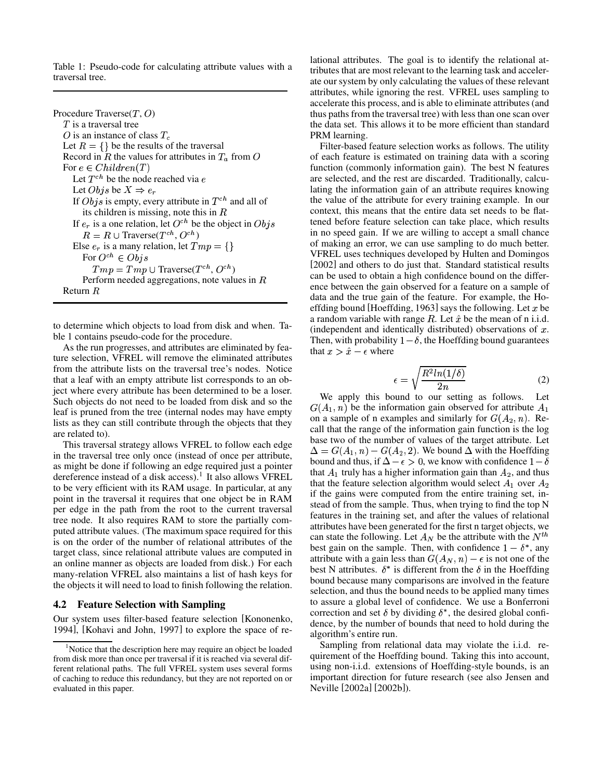Table 1: Pseudo-code for calculating attribute values with a traversal tree.

Procedure Traverse $(T, O)$  $T$  is a traversal tree O is an instance of class  $T_c$ Let  $R = \{\}$  be the results of the traversal Record in R the values for attributes in  $T_a$  from O For  $e \in Children(T)$ Let  $T^{ch}$  be the node reached via  $e$ Let  $Objs$  be  $X \Rightarrow e_r$ If  $Obj s$  is empty, every attribute in  $T^{ch}$  and all of its children is missing, note this in  $R$ If  $e_r$  is a one relation, let  $O^{ch}$  be the object in  $Obj s$  $R = R \cup \text{Traverse}(T^{ch}, O^{ch})$ Else  $e_r$  is a many relation, let  $Tmp = \{\}$ For  $O^{ch} \in Obj s$  $Tmp = Tmp \cup Traverse(T^{ch}, O^{ch})$ Perform needed aggregations, note values in  $$ Return  $R$ 

to determine which objects to load from disk and when. Table 1 contains pseudo-code for the procedure.

As the run progresses, and attributes are eliminated by feature selection, VFREL will remove the eliminated attributes from the attribute lists on the traversal tree's nodes. Notice that a leaf with an empty attribute list corresponds to an object where every attribute has been determined to be a loser. Such objects do not need to be loaded from disk and so the leaf is pruned from the tree (internal nodes may have empty lists as they can still contribute through the objects that they are related to).

This traversal strategy allows VFREL to follow each edge in the traversal tree only once (instead of once per attribute, as might be done if following an edge required just a pointer dereference instead of a disk access).<sup>1</sup> It also allows VFREL to be very efficient with its RAM usage. In particular, at any point in the traversal it requires that one object be in RAM per edge in the path from the root to the current traversal tree node. It also requires RAM to store the partially computed attribute values. (The maximum space required for this is on the order of the number of relational attributes of the target class, since relational attribute values are computed in an online manner as objects are loaded from disk.) For each many-relation VFREL also maintains a list of hash keys for the objects it will need to load to finish following the relation.

#### **4.2 Feature Selection with Sampling**

Our system uses filter-based feature selection [Kononenko, 1994], [Kohavi and John, 1997] to explore the space of relational attributes. The goal is to identify the relational attributes that are most relevant to the learning task and accelerate our system by only calculating the values of these relevant attributes, while ignoring the rest. VFREL uses sampling to accelerate this process, and is able to eliminate attributes (and thus paths from the traversal tree) with less than one scan over the data set. This allows it to be more efficient than standard PRM learning.

 of each feature is estimated on training data with a scoring Filter-based feature selection works as follows. The utility function (commonly information gain). The best N features are selected, and the rest are discarded. Traditionally, calculating the information gain of an attribute requires knowing the value of the attribute for every training example. In our context, this means that the entire data set needs to be flattened before feature selection can take place, which results in no speed gain. If we are willing to accept a small chance of making an error, we can use sampling to do much better. VFREL uses techniques developed by Hulten and Domingos [2002] and others to do just that. Standard statistical results can be used to obtain a high confidence bound on the difference between the gain observed for a feature on a sample of data and the true gain of the feature. For example, the Hoeffding bound [Hoeffding, 1963] says the following. Let  $x$  be a random variable with range  $R$ . Let  $\hat{x}$  be the mean of n i.i.d. (independent and identically distributed) observations of  $x$ . Then, with probability  $1-\delta$ , the Hoeffding bound guarantees that  $x > \hat{x} - \epsilon$  where

$$
\epsilon = \sqrt{\frac{R^2 \ln(1/\delta)}{2n}}\tag{2}
$$

We apply this bound to our setting as follows. Let  $G(A_1, n)$  be the information gain observed for attribute  $A_1$ on a sample of n examples and similarly for  $G(A_2, n)$ . Recall that the range of the information gain function is the log base two of the number of values of the target attribute. Let  $\Delta = G(A_1, n) - G(A_2, 2)$ . We bound  $\Delta$  with the Hoeffding bound and thus, if  $\Delta - \epsilon > 0$ , we know with confidence  $1 - \delta$ that  $A_1$  truly has a higher information gain than  $A_2$ , and thus that the feature selection algorithm would select  $A_1$  over  $A_2$  if the gains were computed from the entire training set, instead of from the sample. Thus, when trying to find the top N features in the training set, and after the values of relational attributes have been generated for the first n target objects, we can state the following. Let  $A_N$  be the attribute with the  $N^{th}$ best gain on the sample. Then, with confidence  $1 - \delta^*$ , any attribute with a gain less than  $G(A_N, n) - \epsilon$  is not one of the best N attributes.  $\delta^*$  is different from the  $\delta$  in the Hoeffding bound because many comparisons are involved in the feature selection, and thus the bound needs to be applied many times to assure a global level of confidence. We use a Bonferroni correction and set  $\delta$  by dividing  $\delta^*$ , the desired global confidence, by the number of bounds that need to hold during the algorithm's entire run.

Sampling from relational data may violate the i.i.d. requirement of the Hoeffding bound. Taking this into account, using non-i.i.d. extensions of Hoeffding-style bounds, is an important direction for future research (see also Jensen and Neville [2002a] [2002b]).

<sup>&</sup>lt;sup>1</sup>Notice that the description here may require an object be loaded from disk more than once per traversal if it is reached via several different relational paths. The full VFREL system uses several forms of caching to reduce this redundancy, but they are not reported on or evaluated in this paper.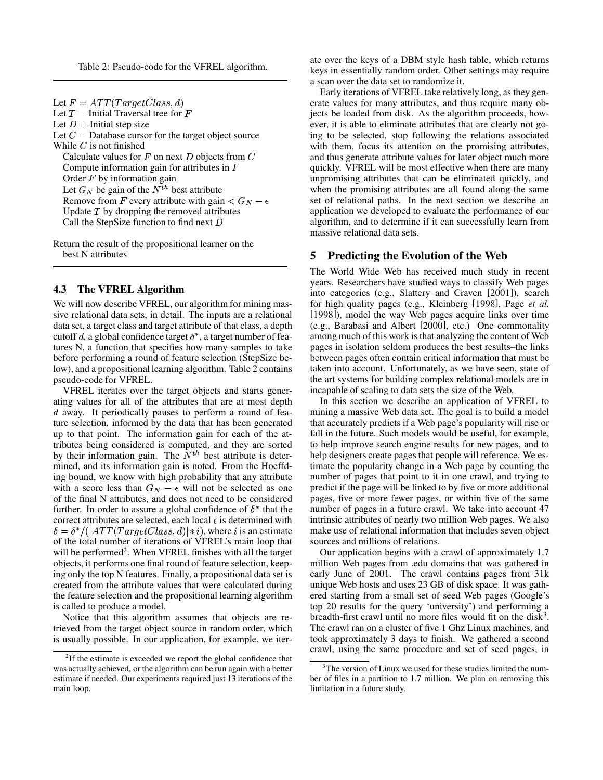Table 2: Pseudo-code for the VFREL algorithm.

Let  $F = ATT(TargetClass, d)$ Let  $T =$  Initial Traversal tree for  $F$ Let  $D =$  Initial step size Let  $C =$  Database cursor for the target object source While  $C$  is not finished Calculate values for  $F$  on next  $D$  objects from  $C$ Compute information gain for attributes in  $F$ Order  $F$  by information gain Let  $G_N$  be gain of the  $N^{th}$  best attribute Remove from F every attribute with gain  $\lt G_N - \epsilon$ Update  $T$  by dropping the removed attributes Call the StepSize function to find next  $D$ 

Return the result of the propositional learner on the best N attributes

#### **4.3 The VFREL Algorithm**

We will now describe VFREL, our algorithm for mining massive relational data sets, in detail. The inputs are a relational data set, a target class and target attribute of that class, a depth cutoff d, a global confidence target  $\delta^*$ , a target number of features N, a function that specifies how many samples to take before performing a round of feature selection (StepSize below), and a propositional learning algorithm. Table 2 contains pseudo-code for VFREL.

VFREL iterates over the target objects and starts generating values for all of the attributes that are at most depth  $d$  away. It periodically pauses to perform a round of feature selection, informed by the data that has been generated up to that point. The information gain for each of the attributes being considered is computed, and they are sorted by their information gain. The  $N^{th}$  best attribute is determined, and its information gain is noted. From the Hoeffding bound, we know with high probability that any attribute with a score less than  $G_N - \epsilon$  will not be selected as one of the final N attributes, and does not need to be considered further. In order to assure a global confidence of  $\delta^*$  that the correct attributes are selected, each local  $\epsilon$  is determined with  $\delta = \delta^*/(|ATT(TargetClass, d)|*i)$ , where i is an estimate of the total number of iterations of VFREL's main loop that will be performed<sup>2</sup>. When VFREL finishes with all the target objects, it performs one final round of feature selection, keeping only the top N features. Finally, a propositional data set is created from the attribute values that were calculated during the feature selection and the propositional learning algorithm is called to produce a model.

Notice that this algorithm assumes that objects are retrieved from the target object source in random order, which is usually possible. In our application, for example, we iterate over the keys of a DBM style hash table, which returns keys in essentially random order. Other settings may require a scan over the data set to randomize it.

Early iterations of VFREL take relatively long, as they generate values for many attributes, and thus require many objects be loaded from disk. As the algorithm proceeds, however, it is able to eliminate attributes that are clearly not going to be selected, stop following the relations associated with them, focus its attention on the promising attributes, and thus generate attribute values for later object much more quickly. VFREL will be most effective when there are many unpromising attributes that can be eliminated quickly, and when the promising attributes are all found along the same set of relational paths. In the next section we describe an application we developed to evaluate the performance of our algorithm, and to determine if it can successfully learn from massive relational data sets.

#### **5 Predicting the Evolution of the Web**

The World Wide Web has received much study in recent years. Researchers have studied ways to classify Web pages into categories (e.g., Slattery and Craven [2001]), search for high quality pages (e.g., Kleinberg [1998], Page *et al.* [1998]), model the way Web pages acquire links over time (e.g., Barabasi and Albert [2000], etc.) One commonality among much of this work is that analyzing the content of Web pages in isolation seldom produces the best results–the links between pages often contain critical information that must be taken into account. Unfortunately, as we have seen, state of the art systems for building complex relational models are in incapable of scaling to data sets the size of the Web.

In this section we describe an application of VFREL to mining a massive Web data set. The goal is to build a model that accurately predicts if a Web page's popularity will rise or fall in the future. Such models would be useful, for example, to help improve search engine results for new pages, and to help designers create pages that people will reference. We estimate the popularity change in a Web page by counting the number of pages that point to it in one crawl, and trying to predict if the page will be linked to by five or more additional pages, five or more fewer pages, or within five of the same number of pages in a future crawl. We take into account 47 intrinsic attributes of nearly two million Web pages. We also make use of relational information that includes seven object sources and millions of relations.

Our application begins with a crawl of approximately 1.7 million Web pages from .edu domains that was gathered in early June of 2001. The crawl contains pages from 31k unique Web hosts and uses 23 GB of disk space. It was gathered starting from a small set of seed Web pages (Google's top 20 results for the query 'university') and performing a breadth-first crawl until no more files would fit on the disk<sup>3</sup>. The crawl ran on a cluster of five 1 Ghz Linux machines, and took approximately 3 days to finish. We gathered a second crawl, using the same procedure and set of seed pages, in

<sup>&</sup>lt;sup>2</sup>If the estimate is exceeded we report the global confidence that was actually achieved, or the algorithm can be run again with a better estimate if needed. Our experiments required just 13 iterations of the main loop.

 $3$ The version of Linux we used for these studies limited the number of files in a partition to 1.7 million. We plan on removing this limitation in a future study.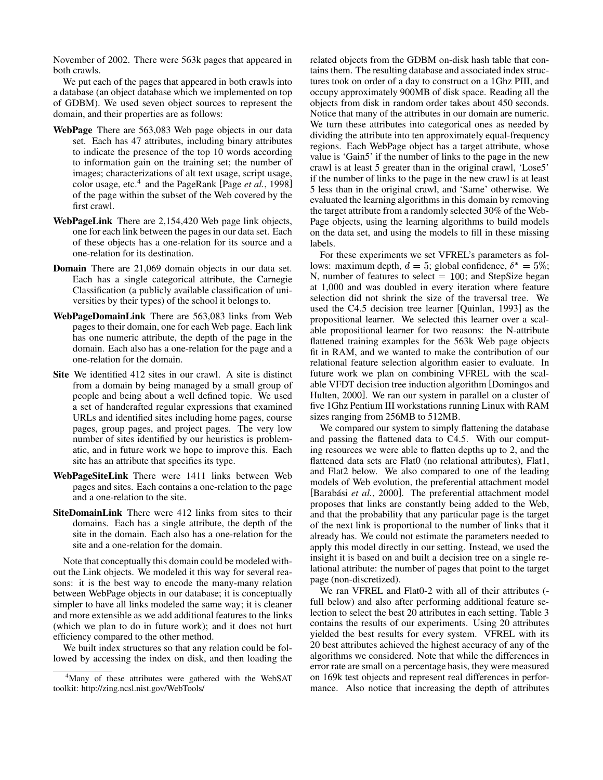November of 2002. There were 563k pages that appeared in both crawls.

We put each of the pages that appeared in both crawls into a database (an object database which we implemented on top of GDBM). We used seven object sources to represent the domain, and their properties are as follows:

- **WebPage** There are 563,083 Web page objects in our data set. Each has 47 attributes, including binary attributes to indicate the presence of the top 10 words according to information gain on the training set; the number of images; characterizations of alt text usage, script usage, color usage, etc.<sup>4</sup> and the PageRank [Page *et al.*, 1998] of the page within the subset of the Web covered by the first crawl.
- **WebPageLink** There are 2,154,420 Web page link objects, one for each link between the pages in our data set. Each of these objects has a one-relation for its source and a one-relation for its destination.
- **Domain** There are 21,069 domain objects in our data set. Each has a single categorical attribute, the Carnegie Classification (a publicly available classification of universities by their types) of the school it belongs to.
- **WebPageDomainLink** There are 563,083 links from Web pages to their domain, one for each Web page. Each link has one numeric attribute, the depth of the page in the domain. Each also has a one-relation for the page and a one-relation for the domain.
- **Site** We identified 412 sites in our crawl. A site is distinct from a domain by being managed by a small group of people and being about a well defined topic. We used a set of handcrafted regular expressions that examined URLs and identified sites including home pages, course pages, group pages, and project pages. The very low number of sites identified by our heuristics is problematic, and in future work we hope to improve this. Each site has an attribute that specifies its type.
- **WebPageSiteLink** There were 1411 links between Web pages and sites. Each contains a one-relation to the page and a one-relation to the site.
- **SiteDomainLink** There were 412 links from sites to their domains. Each has a single attribute, the depth of the site in the domain. Each also has a one-relation for the site and a one-relation for the domain.

Note that conceptually this domain could be modeled without the Link objects. We modeled it this way for several reasons: it is the best way to encode the many-many relation between WebPage objects in our database; it is conceptually simpler to have all links modeled the same way; it is cleaner and more extensible as we add additional features to the links (which we plan to do in future work); and it does not hurt efficiency compared to the other method.

We built index structures so that any relation could be followed by accessing the index on disk, and then loading the related objects from the GDBM on-disk hash table that contains them. The resulting database and associated index structures took on order of a day to construct on a 1Ghz PIII, and occupy approximately 900MB of disk space. Reading all the objects from disk in random order takes about 450 seconds. Notice that many of the attributes in our domain are numeric. We turn these attributes into categorical ones as needed by dividing the attribute into ten approximately equal-frequency regions. Each WebPage object has a target attribute, whose value is 'Gain5' if the number of links to the page in the new crawl is at least 5 greater than in the original crawl, 'Lose5' if the number of links to the page in the new crawl is at least 5 less than in the original crawl, and 'Same' otherwise. We evaluated the learning algorithms in this domain by removing the target attribute from a randomly selected 30% of the Web-Page objects, using the learning algorithms to build models on the data set, and using the models to fill in these missing labels.

For these experiments we set VFREL's parameters as follows: maximum depth,  $d = 5$ ; global confidence,  $\delta^* = 5\%$ ; N, number of features to select  $= 100$ ; and StepSize began at 1,000 and was doubled in every iteration where feature selection did not shrink the size of the traversal tree. We used the C4.5 decision tree learner [Quinlan, 1993] as the propositional learner. We selected this learner over a scalable propositional learner for two reasons: the N-attribute flattened training examples for the 563k Web page objects fit in RAM, and we wanted to make the contribution of our relational feature selection algorithm easier to evaluate. In future work we plan on combining VFREL with the scalable VFDT decision tree induction algorithm [Domingos and Hulten, 2000]. We ran our system in parallel on a cluster of five 1Ghz Pentium III workstations running Linux with RAM sizes ranging from 256MB to 512MB.

We compared our system to simply flattening the database and passing the flattened data to C4.5. With our computing resources we were able to flatten depths up to 2, and the flattened data sets are Flat0 (no relational attributes), Flat1, and Flat2 below. We also compared to one of the leading models of Web evolution, the preferential attachment model [Barabási et al., 2000]. The preferential attachment model proposes that links are constantly being added to the Web, and that the probability that any particular page is the target of the next link is proportional to the number of links that it already has. We could not estimate the parameters needed to apply this model directly in our setting. Instead, we used the insight it is based on and built a decision tree on a single relational attribute: the number of pages that point to the target page (non-discretized).

We ran VFREL and Flat0-2 with all of their attributes ( full below) and also after performing additional feature selection to select the best 20 attributes in each setting. Table 3 contains the results of our experiments. Using 20 attributes yielded the best results for every system. VFREL with its 20 best attributes achieved the highest accuracy of any of the algorithms we considered. Note that while the differences in error rate are small on a percentage basis, they were measured on 169k test objects and represent real differences in performance. Also notice that increasing the depth of attributes

<sup>&</sup>lt;sup>4</sup>Many of these attributes were gathered with the WebSAT toolkit: http://zing.ncsl.nist.gov/WebTools/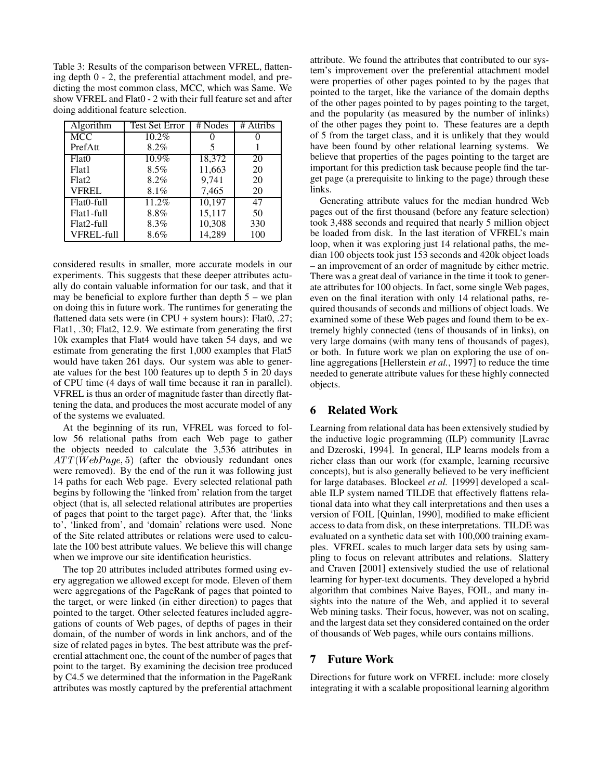Table 3: Results of the comparison between VFREL, flattening depth 0 - 2, the preferential attachment model, and predicting the most common class, MCC, which was Same. We show VFREL and Flat0 - 2 with their full feature set and after doing additional feature selection.

| Algorithm         | <b>Test Set Error</b> | # Nodes | # Attribs |
|-------------------|-----------------------|---------|-----------|
| <b>MCC</b>        | $10.2\%$              |         |           |
| PrefAtt           | 8.2%                  |         |           |
| Flat()            | $10.9\%$              | 18,372  | 20        |
| Flat1             | $8.5\%$               | 11,663  | 20        |
| Flat <sub>2</sub> | 8.2%                  | 9,741   | 20        |
| <b>VFREL</b>      | 8.1%                  | 7,465   | 20        |
| Flat0-full        | $11.2\%$              | 10,197  | 47        |
| Flat1-full        | 8.8%                  | 15,117  | 50        |
| Flat2-full        | 8.3%                  | 10,308  | 330       |
| VFREL-full        | 8.6%                  | 14,289  | 100       |

considered results in smaller, more accurate models in our experiments. This suggests that these deeper attributes actually do contain valuable information for our task, and that it may be beneficial to explore further than depth  $5 -$  we plan on doing this in future work. The runtimes for generating the flattened data sets were (in CPU + system hours): Flat0, .27; Flat1, .30; Flat2, 12.9. We estimate from generating the first 10k examples that Flat4 would have taken 54 days, and we estimate from generating the first 1,000 examples that Flat5 would have taken 261 days. Our system was able to generate values for the best 100 features up to depth 5 in 20 days of CPU time (4 days of wall time because it ran in parallel). VFREL is thus an order of magnitude faster than directly flattening the data, and produces the most accurate model of any of the systems we evaluated.

At the beginning of its run, VFREL was forced to follow 56 relational paths from each Web page to gather the objects needed to calculate the 3,536 attributes in  $ATT(WebPage, 5)$  (after the obviously redundant ones were removed). By the end of the run it was following just 14 paths for each Web page. Every selected relational path begins by following the 'linked from' relation from the target object (that is, all selected relational attributes are properties of pages that point to the target page). After that, the 'links to', 'linked from', and 'domain' relations were used. None of the Site related attributes or relations were used to calculate the 100 best attribute values. We believe this will change when we improve our site identification heuristics.

The top 20 attributes included attributes formed using every aggregation we allowed except for mode. Eleven of them were aggregations of the PageRank of pages that pointed to the target, or were linked (in either direction) to pages that pointed to the target. Other selected features included aggregations of counts of Web pages, of depths of pages in their domain, of the number of words in link anchors, and of the size of related pages in bytes. The best attribute was the preferential attachment one, the count of the number of pages that point to the target. By examining the decision tree produced by C4.5 we determined that the information in the PageRank attributes was mostly captured by the preferential attachment attribute. We found the attributes that contributed to our system's improvement over the preferential attachment model were properties of other pages pointed to by the pages that pointed to the target, like the variance of the domain depths of the other pages pointed to by pages pointing to the target, and the popularity (as measured by the number of inlinks) of the other pages they point to. These features are a depth of 5 from the target class, and it is unlikely that they would have been found by other relational learning systems. We believe that properties of the pages pointing to the target are important for this prediction task because people find the target page (a prerequisite to linking to the page) through these links.

Generating attribute values for the median hundred Web pages out of the first thousand (before any feature selection) took 3,488 seconds and required that nearly 5 million object be loaded from disk. In the last iteration of VFREL's main loop, when it was exploring just 14 relational paths, the median 100 objects took just 153 seconds and 420k object loads – an improvement of an order of magnitude by either metric. There was a great deal of variance in the time it took to generate attributes for 100 objects. In fact, some single Web pages, even on the final iteration with only 14 relational paths, required thousands of seconds and millions of object loads. We examined some of these Web pages and found them to be extremely highly connected (tens of thousands of in links), on very large domains (with many tens of thousands of pages), or both. In future work we plan on exploring the use of online aggregations [Hellerstein *et al.*, 1997] to reduce the time needed to generate attribute values for these highly connected objects.

## **6 Related Work**

Learning from relational data has been extensively studied by the inductive logic programming (ILP) community [Lavrac and Dzeroski, 1994]. In general, ILP learns models from a richer class than our work (for example, learning recursive concepts), but is also generally believed to be very inefficient for large databases. Blockeel *et al.* [1999] developed a scalable ILP system named TILDE that effectively flattens relational data into what they call interpretations and then uses a version of FOIL [Quinlan, 1990], modified to make efficient access to data from disk, on these interpretations. TILDE was evaluated on a synthetic data set with 100,000 training examples. VFREL scales to much larger data sets by using sampling to focus on relevant attributes and relations. Slattery and Craven [2001] extensively studied the use of relational learning for hyper-text documents. They developed a hybrid algorithm that combines Naive Bayes, FOIL, and many insights into the nature of the Web, and applied it to several Web mining tasks. Their focus, however, was not on scaling, and the largest data set they considered contained on the order of thousands of Web pages, while ours contains millions.

#### **7 Future Work**

Directions for future work on VFREL include: more closely integrating it with a scalable propositional learning algorithm